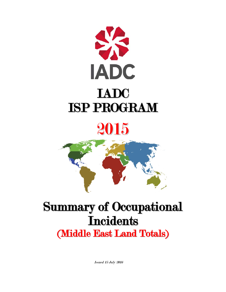

# 2015



# Summary of Occupational **Incidents**

(Middle East Land Totals)

Issued 15 July 2016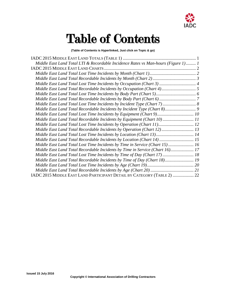

## Table of Contents

**(Table of Contents is Hyperlinked, Just click on Topic & go)**

| Middle East Land Total LTI & Recordable Incidence Rates vs Man-hours (Figure 1) 1 |  |
|-----------------------------------------------------------------------------------|--|
|                                                                                   |  |
|                                                                                   |  |
|                                                                                   |  |
|                                                                                   |  |
|                                                                                   |  |
|                                                                                   |  |
|                                                                                   |  |
|                                                                                   |  |
|                                                                                   |  |
| Middle East Land Total Lost Time Incidents by Equipment (Chart 9) 10              |  |
| Middle East Land Total Recordable Incidents by Equipment (Chart 10) 11            |  |
| Middle East Land Total Lost Time Incidents by Operation (Chart 11) 12             |  |
| Middle East Land Total Recordable Incidents by Operation (Chart 12) 13            |  |
| Middle East Land Total Lost Time Incidents by Location (Chart 13) 14              |  |
| Middle East Land Total Recordable Incidents by Location (Chart 14) 15             |  |
| Middle East Land Total Lost Time Incidents by Time in Service (Chart 15) 16       |  |
| Middle East Land Total Recordable Incidents by Time in Service (Chart 16) 17      |  |
| Middle East Land Total Lost Time Incidents by Time of Day (Chart 17) 18           |  |
| Middle East Land Total Recordable Incidents by Time of Day (Chart 18) 19          |  |
|                                                                                   |  |
|                                                                                   |  |
| IADC 2015 MIDDLE EAST LAND PARTICIPANT DETAIL BY CATEGORY (TABLE 2)  22           |  |
|                                                                                   |  |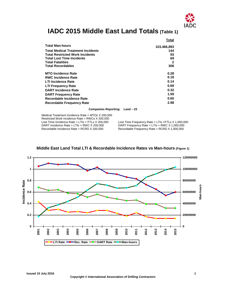

## <span id="page-2-0"></span>**IADC 2015 Middle East Land Totals (Table 1)**

|                                          | Total       |
|------------------------------------------|-------------|
| <b>Total Man-hours</b>                   | 103,466,893 |
| <b>Total Medical Treatment Incidents</b> | 144         |
| <b>Total Restricted Work Incidents</b>   | 93          |
| <b>Total Lost Time Incidents</b>         | 69          |
| <b>Total Fatalities</b>                  | 2           |
| <b>Total Recordables</b>                 | 308         |
| <b>MTO Incidence Rate</b>                | 0.28        |
| <b>RWC Incidence Rate</b>                | 0.18        |
| <b>LTI Incidence Rate</b>                | 0.14        |
| <b>LTI Frequency Rate</b>                | 0.69        |
| <b>DART Incidence Rate</b>               | 0.32        |
| <b>DART Frequency Rate</b>               | 1.59        |
| Recordable Incidence Rate                | 0.60        |
| <b>Recordable Frequency Rate</b>         | 2.98        |

#### **Companies Reporting: Land – 23**

Medical Treatment Incidence Rate = MTOs X 200,000 Restricted Work Incidence Rate = RWCs X 200,000<br>Lost Time Incidence Rate = LTIs + FTLs X 200,000 Lost Time Incidence Rate = LTIs + FTLs X 200,000 Lost Time Frequency Rate = LTIs + FTLs X 1,000,000<br>DART Incidence Rate = LTIs + RWC X 200,000 DART Frequency Rate = LTIs + RWC X 1,000,000 DART Incidence Rate = LTIs + RWC X 200,000 DART Frequency Rate = LTIs + RWC X 1,000,000<br>Recordable Incidence Rate = RCRD X 200,000 Recordable Frequency Rate = RCRD X 1,000,000

Recordable Frequency Rate = RCRD  $X$  1,000,000

<span id="page-2-1"></span>

## **Middle East Land Total LTI & Recordable Incidence Rates vs Man-hours (Figure 1)**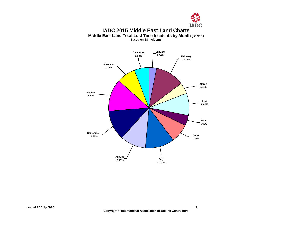

## **IADC 2015 Middle East Land Charts Middle East Land Total Lost Time Incidents by Month (Chart 1)**

**Based on 68 Incidents**

<span id="page-3-1"></span><span id="page-3-0"></span>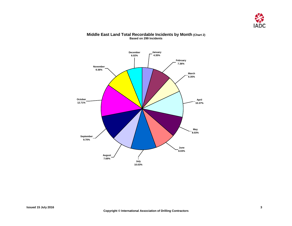

<span id="page-4-0"></span>

## **Middle East Land Total Recordable Incidents by Month (Chart 2) Based on 299 Incidents**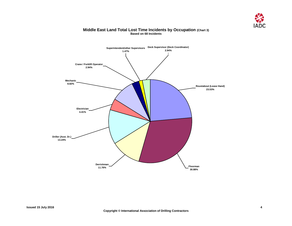

## **Middle East Land Total Lost Time Incidents by Occupation (Chart 3) Based on 68 Incidents**

<span id="page-5-0"></span>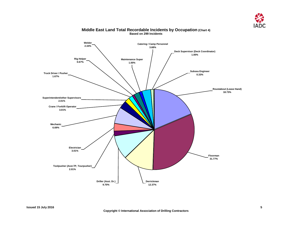

<span id="page-6-0"></span>

## **Middle East Land Total Recordable Incidents by Occupation (Chart 4) Based on 299 Incidents**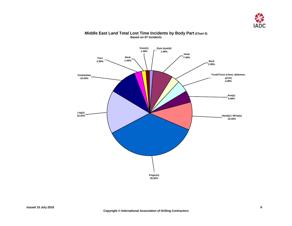

<span id="page-7-0"></span>

## **Middle East Land Total Lost Time Incidents by Body Part (Chart 5) Based on 67 Incidents**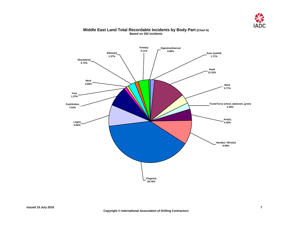

<span id="page-8-0"></span>

## **Middle East Land Total Recordable Incidents by Body Part (Chart 6) Based on 292 Incidents**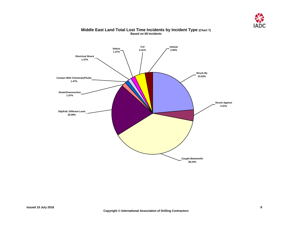

<span id="page-9-0"></span>

## **Middle East Land Total Lost Time Incidents by Incident Type (Chart 7) Based on 68 Incidents**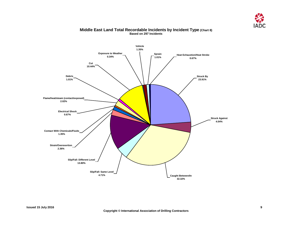

<span id="page-10-0"></span>

## **Middle East Land Total Recordable Incidents by Incident Type (Chart 8) Based on 297 Incidents**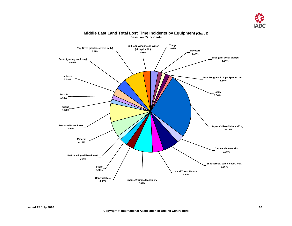

<span id="page-11-0"></span>

## **Middle East Land Total Lost Time Incidents by Equipment (Chart 9) Based on 65 Incidents**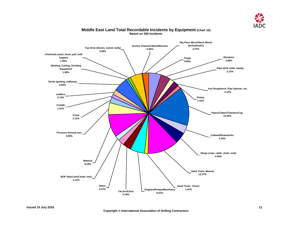

<span id="page-12-0"></span>

## **Middle East Land Total Recordable Incidents by Equipment (Chart 10) Based on 283 Incidents**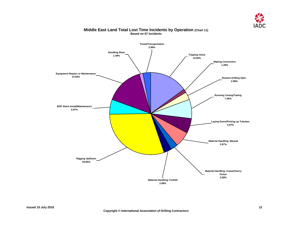

<span id="page-13-0"></span>

## **Middle East Land Total Lost Time Incidents by Operation (Chart 11) Based on 67 Incidents**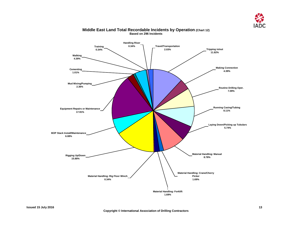

<span id="page-14-0"></span>

## **Middle East Land Total Recordable Incidents by Operation (Chart 12) Based on 296 Incidents**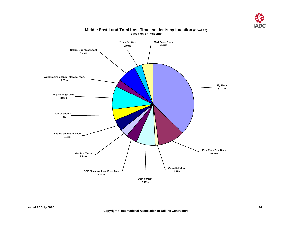

<span id="page-15-0"></span>

## **Middle East Land Total Lost Time Incidents by Location (Chart 13) Based on 67 Incidents**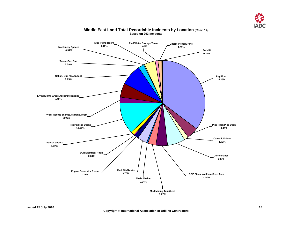

<span id="page-16-0"></span>

## **Middle East Land Total Recordable Incidents by Location (Chart 14) Based on 293 Incidents**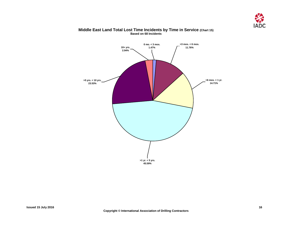

<span id="page-17-0"></span>

## **Middle East Land Total Lost Time Incidents by Time in Service (Chart 15) Based on 68 Incidents**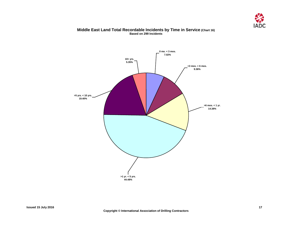

## **Middle East Land Total Recordable Incidents by Time in Service (Chart 16) Based on 299 Incidents**

<span id="page-18-0"></span>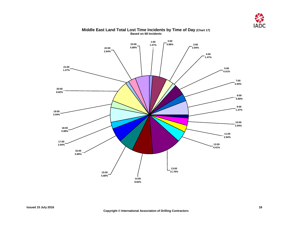

<span id="page-19-0"></span>

## **Middle East Land Total Lost Time Incidents by Time of Day (Chart 17) Based on 68 Incidents**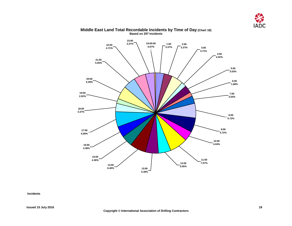

<span id="page-20-0"></span>

#### **Middle East Land Total Recordable Incidents by Time of Day (Chart 18) Based on 297 Incidents**

**Incidents**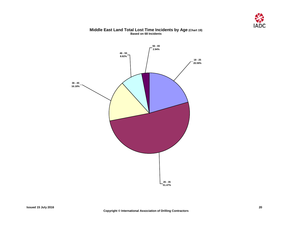

## **Middle East Land Total Lost Time Incidents by Age (Chart 19) Based on 68 Incidents**